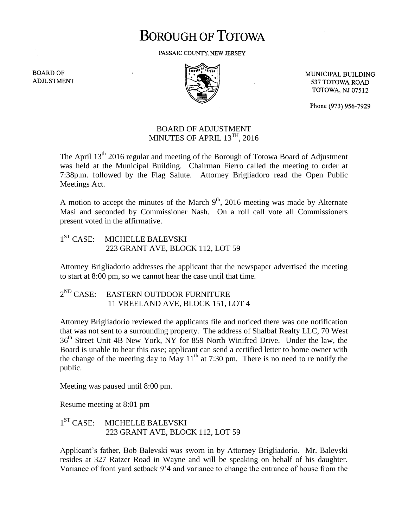## **BOROUGH OF TOTOWA**

PASSAIC COUNTY, NEW JERSEY

**BOARD OF ADJUSTMENT** 



MUNICIPAL BUILDING 537 TOTOWA ROAD **TOTOWA, NJ 07512** 

Phone (973) 956-7929

## BOARD OF ADJUSTMENT MINUTES OF APRIL  $13^{TH}$ , 2016

The April 13<sup>th</sup> 2016 regular and meeting of the Borough of Totowa Board of Adjustment was held at the Municipal Building. Chairman Fierro called the meeting to order at 7:38p.m. followed by the Flag Salute. Attorney Brigliadoro read the Open Public Meetings Act.

A motion to accept the minutes of the March  $9<sup>th</sup>$ , 2016 meeting was made by Alternate Masi and seconded by Commissioner Nash. On a roll call vote all Commissioners present voted in the affirmative.

 $1^{ST}$  CASE: MICHELLE BALEVSKI 223 GRANT AVE, BLOCK 112, LOT 59

Attorney Brigliadorio addresses the applicant that the newspaper advertised the meeting to start at 8:00 pm, so we cannot hear the case until that time.

2<sup>ND</sup> CASE: EASTERN OUTDOOR FURNITURE 11 VREELAND AVE, BLOCK 151, LOT 4

Attorney Brigliadorio reviewed the applicants file and noticed there was one notification that was not sent to a surrounding property. The address of Shalbaf Realty LLC, 70 West 36<sup>th</sup> Street Unit 4B New York, NY for 859 North Winifred Drive. Under the law, the Board is unable to hear this case; applicant can send a certified letter to home owner with the change of the meeting day to May  $11<sup>th</sup>$  at 7:30 pm. There is no need to re notify the public.

Meeting was paused until 8:00 pm.

Resume meeting at 8:01 pm

 $1<sup>ST</sup> CASE:$ MICHELLE BALEVSKI 223 GRANT AVE, BLOCK 112, LOT 59

Applicant's father, Bob Balevski was sworn in by Attorney Brigliadorio. Mr. Balevski resides at 327 Ratzer Road in Wayne and will be speaking on behalf of his daughter. Variance of front yard setback 9'4 and variance to change the entrance of house from the